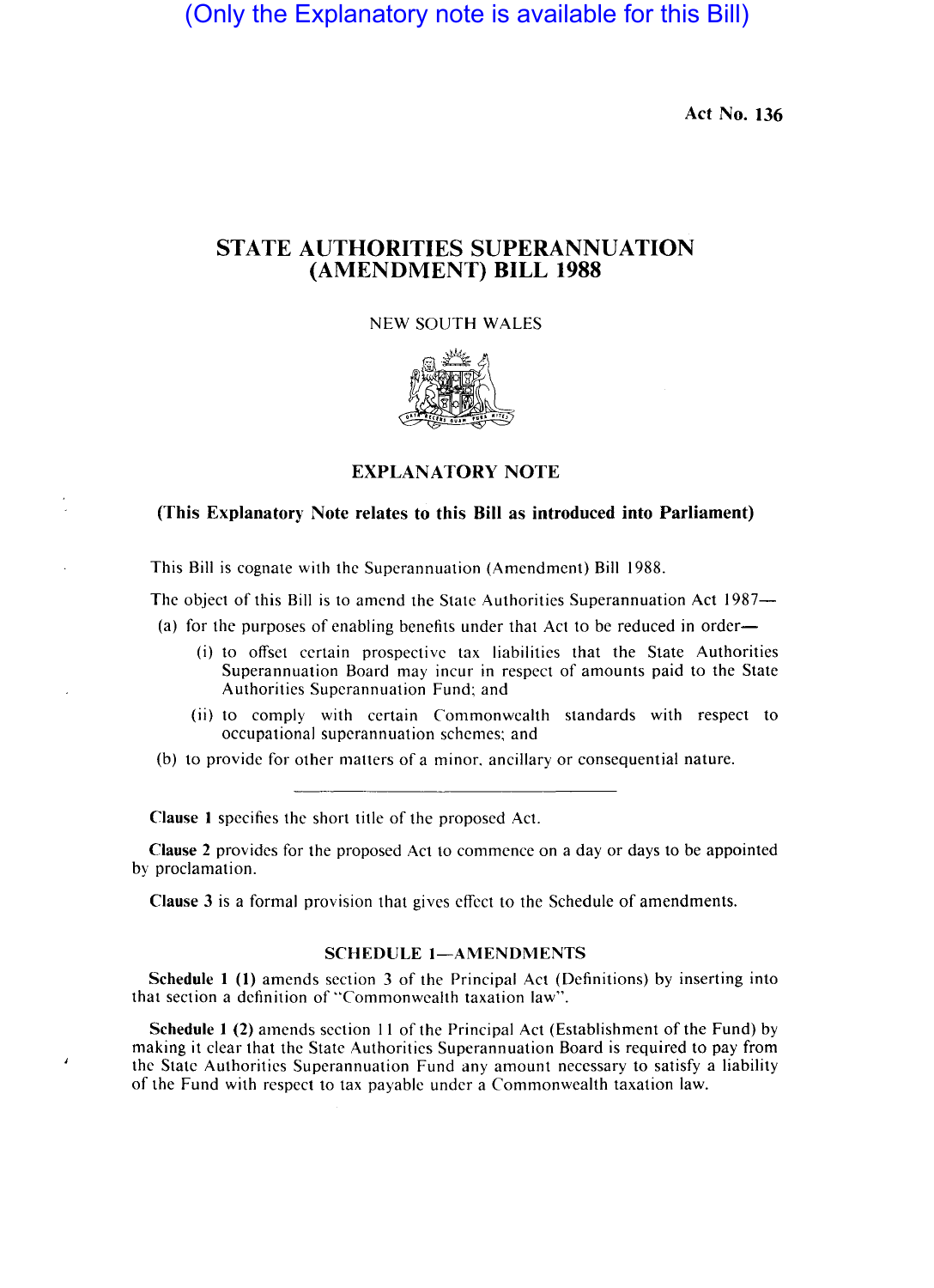(Only the Explanatory note is available for this Bill)

**Act No. 136** 

## **STATE AUTHORITIES SUPERANNUATION (AMENDMENT) BILL 1988**

NEW SOUTH WALES



**EXPLANATORY NOTE** 

## **(This Explanatory Note relates to this Bill as introduced into Parliament)**

This Bill is cognate with the Superannuation (Amendment) Bill 1988.

The object of this Bill is to amend the State Authorities Superannuation Act 1987-

(a) for the purposes of enabling benefits under that Act to be reduced in order-

- (i) to offset certain prospective tax liabilities that the State Authorities Superannuation Board may incur in respect of amounts paid to the State Authorities Superannuation Fund; and
- (ii) to comply with certain Commonwealth standards with respect to occupational superannuation schemes; and

(b) to provide for other matters of a minor. ancillary or consequential nature.

**Clause 1** specifics the short title of the proposed Act.

J.

**Clause 2** provides for the proposed Act to commence on a day or days to be appointed by proclamation.

**Clause** 3 is a formal provision that gives effect to the Schedule of amendments.

## SCHEDULE 1-AMENDMENTS

**Schedule 1 (1)** amends section 3 of the Principal Act (Definitions) by inserting into that section a definition of "Commonwealth taxation law".

**Schedule 1 (2)** amends section 11 of the Principal Act (Establishment of the Fund) by making it clear that the State Authorities Superannuation Board is required to pay from the State Authorities Superannuation Fund any amount necessary to satisfy a liability of the Fund with respect to tax payable under a Commonwealth taxation law.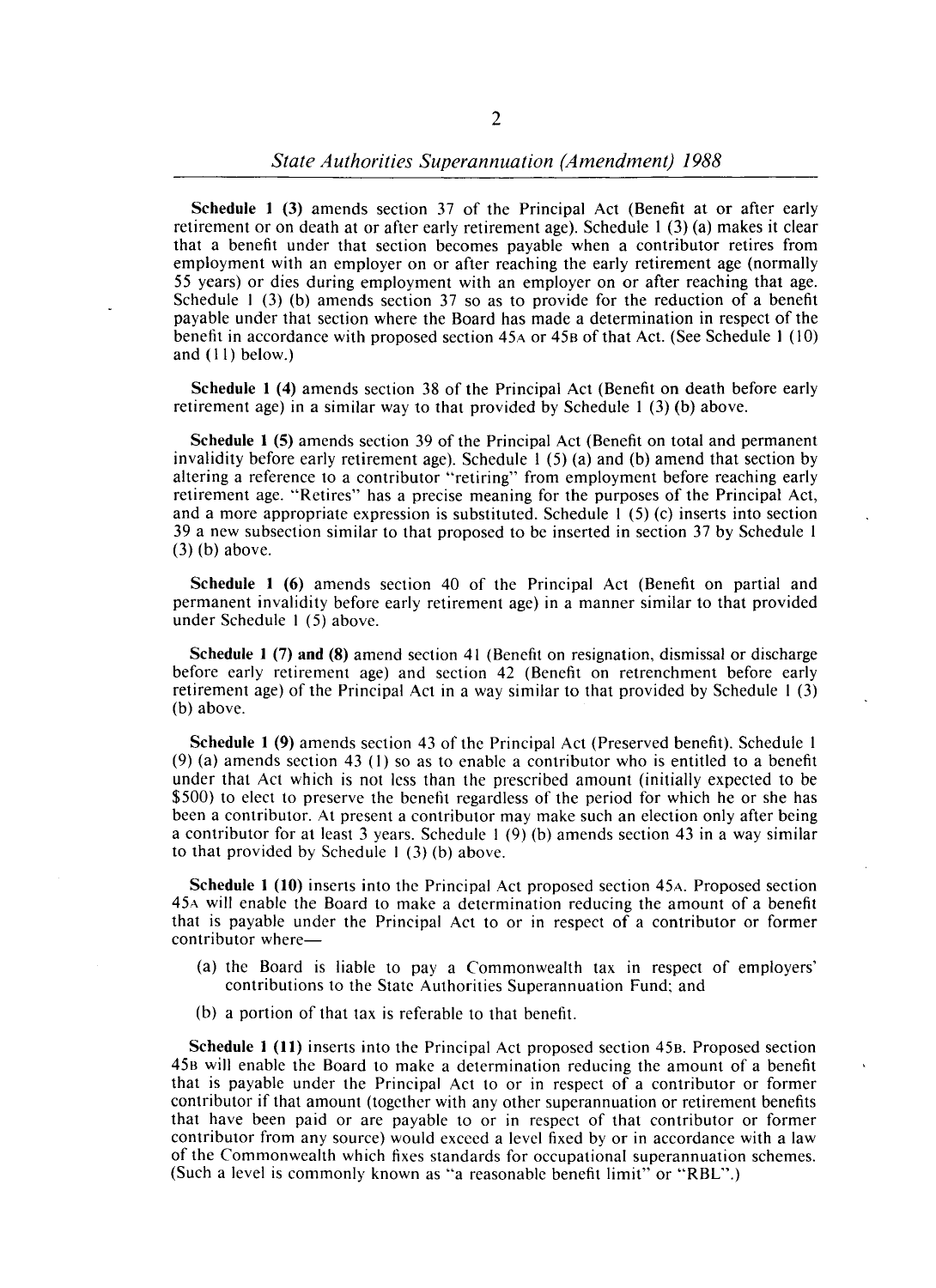Schedule 1 (3) amends section 37 of the Principal Act (Benefit at or after early retirement or on death at or after early retirement age). Schedule 1 (3) (a) makes it clear that a benefit under that section becomes payable when a contributor retires from employment with an employer on or after reaching the early retirement age (normally 55 years) or dies during employment with an employer on or after reaching that age. Schedule I (3) (b) amends section 37 so as to provide for the reduction of a benefit payable under that section where the Board has made a determination in respect of the benefit in accordance with proposed section 45A or 45B of that Act. (See Schedule I (10) and (11) below.)

Schedule 1 (4) amends section 38 of the Principal Act (Benefit on death before early retirement age) in a similar way to that provided by Schedule I (3) (b) above.

Schedule 1 (5) amends section 39 of the Principal Act (Benefit on total and permanent invalidity before early retirement age). Schedule  $1(5)(a)$  and (b) amend that section by altering a reference to a contributor "retiring" from employment before reaching early retirement age. "Retires" has a precise meaning for the purposes of the Principal Act, and a more appropriate expression is substituted. Schedule I (5) (c) inserts into section 39 a new subsection similar to that proposed to be inserted in section 37 by Schedule 1 (3) (b) above.

Schedule 1 (6) amends section 40 of the Principal Act (Benefit on partial and permanent invalidity before early retirement age) in a manner similar to that provided under Schedule I (5) above.

Schedule 1 (7) and (8) amend section 41 (Benefit on resignation, dismissal or discharge before early retirement age) and section 42 (Benefit on retrenchment before early retirement age) of the Principal Act in a way similar to that provided by Schedule I (3) (b) above.

Schedule 1 (9) amends section 43 of the Principal Act (Preserved benefit). Schedule I (9) (a) amends section 43 (I) so as to enable a contributor who is entitled to a benefit under that Act which is not less than the prescribed amount (initially expected to be \$500) to elect to preserve the benefit regardless of the period for which he or she has been a contributor. At present a contributor may make such an election only after being a contributor for at least 3 years. Schedule I (9) (b) amends section 43 in a way similar to that provided by Schedule I (3) (b) above.

Schedule 1 (10) inserts into the Principal Act proposed section 45A. Proposed section 45A will enable the Board to make a determination reducing the amount of a benefit that is payable under the Principal Act to or in respect of a contributor or former contributor where-

- (a) the Board is liable to pay a Commonwealth tax in respect of employers' contributions to the State Authorities Superannuation Fund; and
- (b) a portion of that tax is referable to that benefit.

Schedule 1 (11) inserts into the Principal Act proposed section 45B. Proposed section 458 will enable the Board to make a determination reducing the amount of a benefit that is payable under the Principal Act to or in respect of a contributor or former contributor if that amount (together with any other superannuation or retirement benefits that have been paid or are payable to or in respect of that contributor or former contributor from any source) would exceed a level fixed by or in accordance with a law of the Commonwealth which fixes standards for occupational superannuation schemes. (Such a level is commonly known as "a reasonable benefit limit" or "RBL".)